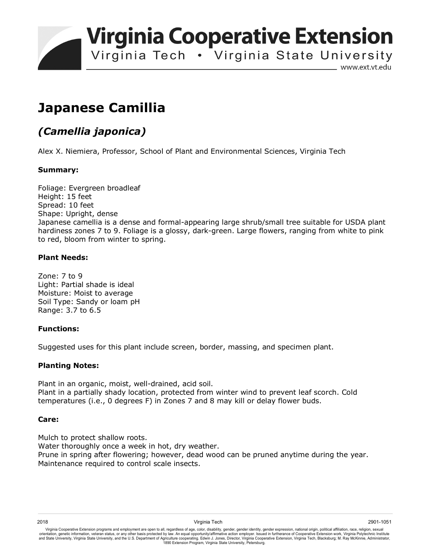**Virginia Cooperative Extension** 

Virginia Tech . Virginia State University

www.ext.vt.edu

# **Japanese Camillia**

# *(Camellia japonica)*

Alex X. Niemiera, Professor, School of Plant and Environmental Sciences, Virginia Tech

## **Summary:**

Foliage: Evergreen broadleaf Height: 15 feet Spread: 10 feet Shape: Upright, dense Japanese camellia is a dense and formal-appearing large shrub/small tree suitable for USDA plant hardiness zones 7 to 9. Foliage is a glossy, dark-green. Large flowers, ranging from white to pink to red, bloom from winter to spring.

## **Plant Needs:**

Zone: 7 to 9 Light: Partial shade is ideal Moisture: Moist to average Soil Type: Sandy or loam pH Range: 3.7 to 6.5

#### **Functions:**

Suggested uses for this plant include screen, border, massing, and specimen plant.

#### **Planting Notes:**

Plant in an organic, moist, well-drained, acid soil. Plant in a partially shady location, protected from winter wind to prevent leaf scorch. Cold temperatures (i.e., 0 degrees F) in Zones 7 and 8 may kill or delay flower buds.

#### **Care:**

Mulch to protect shallow roots. Water thoroughly once a week in hot, dry weather. Prune in spring after flowering; however, dead wood can be pruned anytime during the year. Maintenance required to control scale insects.